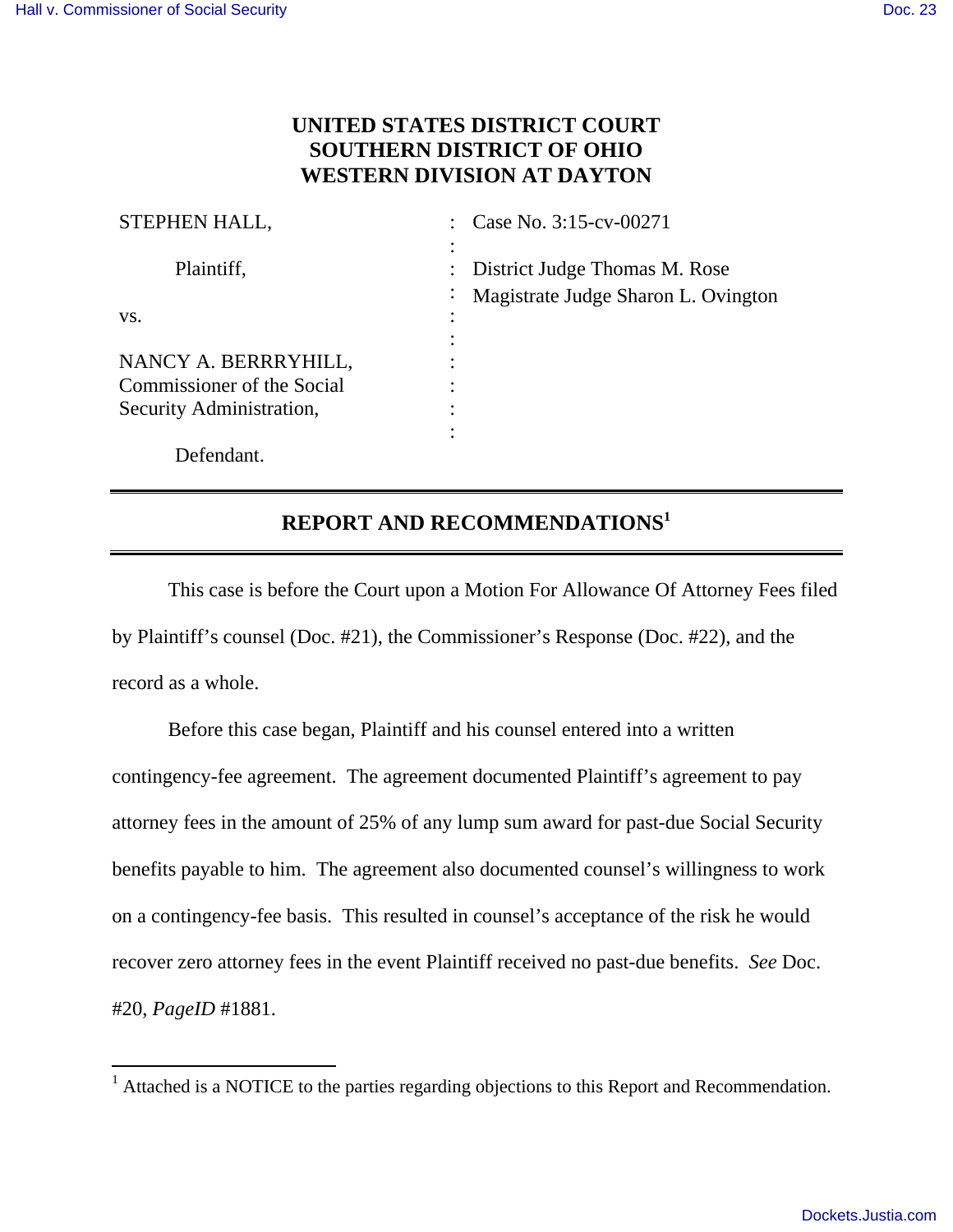## **UNITED STATES DISTRICT COURT SOUTHERN DISTRICT OF OHIO WESTERN DIVISION AT DAYTON**

| STEPHEN HALL,              | Case No. 3:15-cv-00271                                      |
|----------------------------|-------------------------------------------------------------|
| Plaintiff,                 | District Judge Thomas M. Rose                               |
|                            | Magistrate Judge Sharon L. Ovington<br>$\ddot{\phantom{0}}$ |
| VS.                        |                                                             |
|                            |                                                             |
| NANCY A. BERRRYHILL,       |                                                             |
| Commissioner of the Social |                                                             |
| Security Administration,   |                                                             |
|                            |                                                             |
| Defendant.                 |                                                             |

## **REPORT AND RECOMMENDATIONS<sup>1</sup>**

 This case is before the Court upon a Motion For Allowance Of Attorney Fees filed by Plaintiff's counsel (Doc. #21), the Commissioner's Response (Doc. #22), and the record as a whole.

 Before this case began, Plaintiff and his counsel entered into a written contingency-fee agreement. The agreement documented Plaintiff's agreement to pay attorney fees in the amount of 25% of any lump sum award for past-due Social Security benefits payable to him. The agreement also documented counsel's willingness to work on a contingency-fee basis. This resulted in counsel's acceptance of the risk he would recover zero attorney fees in the event Plaintiff received no past-due benefits. *See* Doc. #20, *PageID* #1881.

 $\overline{a}$ <sup>1</sup> Attached is a NOTICE to the parties regarding objections to this Report and Recommendation.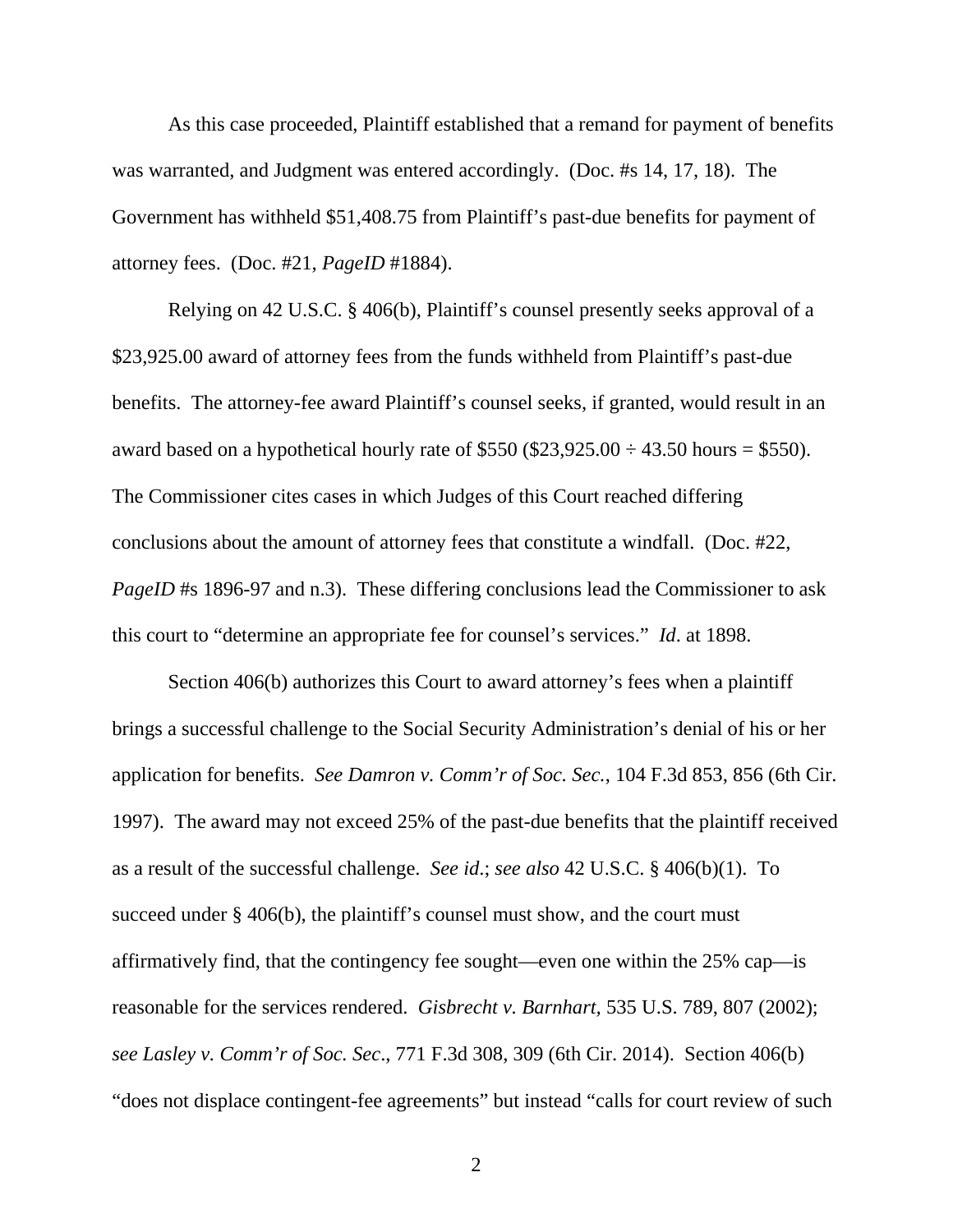As this case proceeded, Plaintiff established that a remand for payment of benefits was warranted, and Judgment was entered accordingly. (Doc. #s 14, 17, 18). The Government has withheld \$51,408.75 from Plaintiff's past-due benefits for payment of attorney fees. (Doc. #21, *PageID* #1884).

 Relying on 42 U.S.C. § 406(b), Plaintiff's counsel presently seeks approval of a \$23,925.00 award of attorney fees from the funds withheld from Plaintiff's past-due benefits. The attorney-fee award Plaintiff's counsel seeks, if granted, would result in an award based on a hypothetical hourly rate of \$550 (\$23,925.00  $\div$  43.50 hours = \$550). The Commissioner cites cases in which Judges of this Court reached differing conclusions about the amount of attorney fees that constitute a windfall. (Doc. #22, *PageID* #s 1896-97 and n.3). These differing conclusions lead the Commissioner to ask this court to "determine an appropriate fee for counsel's services." *Id*. at 1898.

 Section 406(b) authorizes this Court to award attorney's fees when a plaintiff brings a successful challenge to the Social Security Administration's denial of his or her application for benefits. *See Damron v. Comm'r of Soc. Sec.*, 104 F.3d 853, 856 (6th Cir. 1997). The award may not exceed 25% of the past-due benefits that the plaintiff received as a result of the successful challenge. *See id*.; *see also* 42 U.S.C. § 406(b)(1). To succeed under § 406(b), the plaintiff's counsel must show, and the court must affirmatively find, that the contingency fee sought—even one within the 25% cap—is reasonable for the services rendered. *Gisbrecht v. Barnhart,* 535 U.S. 789, 807 (2002); *see Lasley v. Comm'r of Soc. Sec*., 771 F.3d 308, 309 (6th Cir. 2014). Section 406(b) "does not displace contingent-fee agreements" but instead "calls for court review of such

2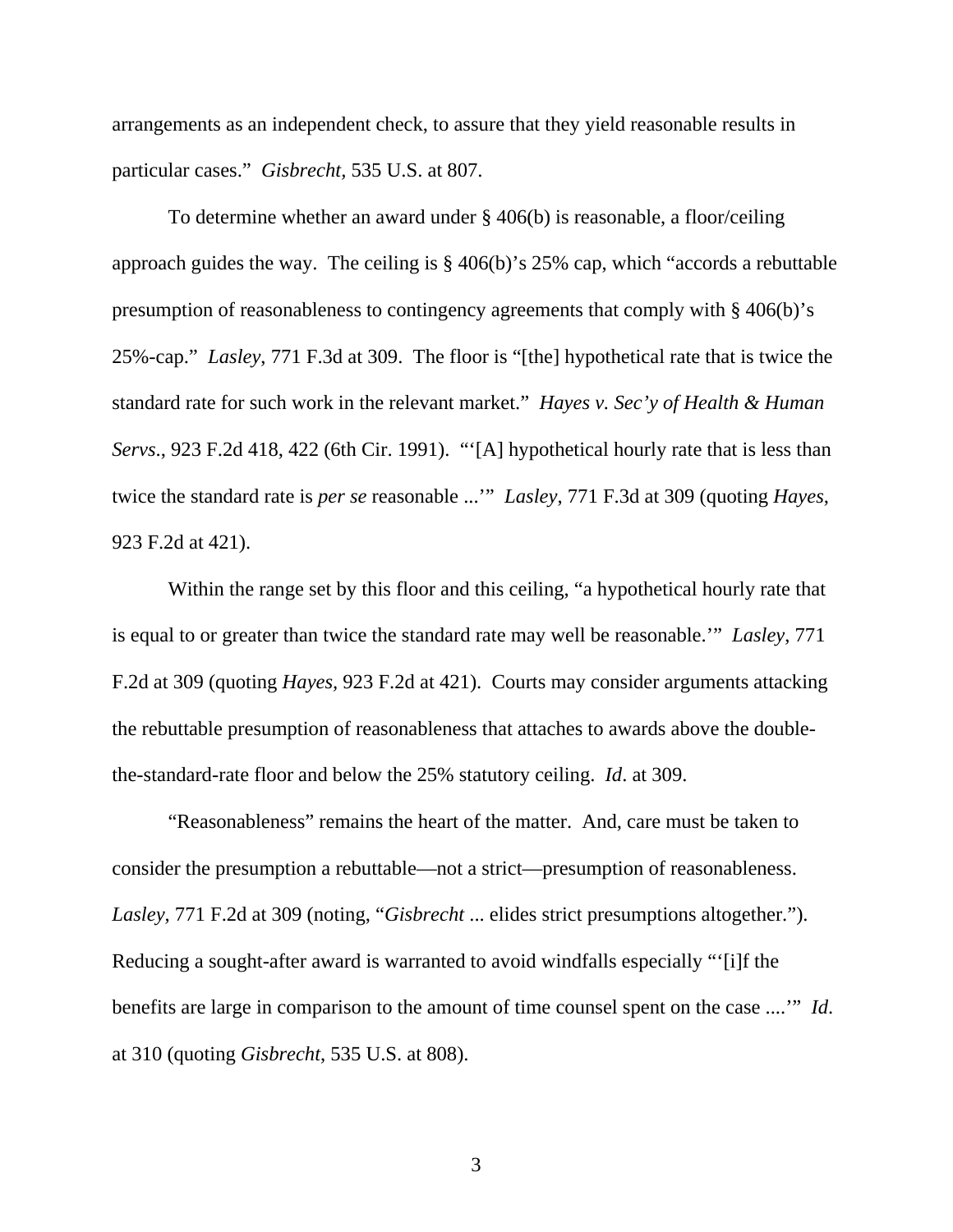arrangements as an independent check, to assure that they yield reasonable results in particular cases." *Gisbrecht,* 535 U.S. at 807.

 To determine whether an award under § 406(b) is reasonable, a floor/ceiling approach guides the way. The ceiling is § 406(b)'s 25% cap, which "accords a rebuttable presumption of reasonableness to contingency agreements that comply with § 406(b)'s 25%-cap." *Lasley*, 771 F.3d at 309. The floor is "[the] hypothetical rate that is twice the standard rate for such work in the relevant market." *Hayes v. Sec'y of Health & Human Servs.*, 923 F.2d 418, 422 (6th Cir. 1991). "'[A] hypothetical hourly rate that is less than twice the standard rate is *per se* reasonable ...'" *Lasley*, 771 F.3d at 309 (quoting *Hayes*, 923 F.2d at 421).

 Within the range set by this floor and this ceiling, "a hypothetical hourly rate that is equal to or greater than twice the standard rate may well be reasonable.'" *Lasley*, 771 F.2d at 309 (quoting *Hayes,* 923 F.2d at 421). Courts may consider arguments attacking the rebuttable presumption of reasonableness that attaches to awards above the doublethe-standard-rate floor and below the 25% statutory ceiling. *Id*. at 309.

 "Reasonableness" remains the heart of the matter. And, care must be taken to consider the presumption a rebuttable—not a strict—presumption of reasonableness. *Lasley*, 771 F.2d at 309 (noting, "*Gisbrecht* ... elides strict presumptions altogether."). Reducing a sought-after award is warranted to avoid windfalls especially "'[i]f the benefits are large in comparison to the amount of time counsel spent on the case ....'" *Id*. at 310 (quoting *Gisbrecht*, 535 U.S. at 808).

3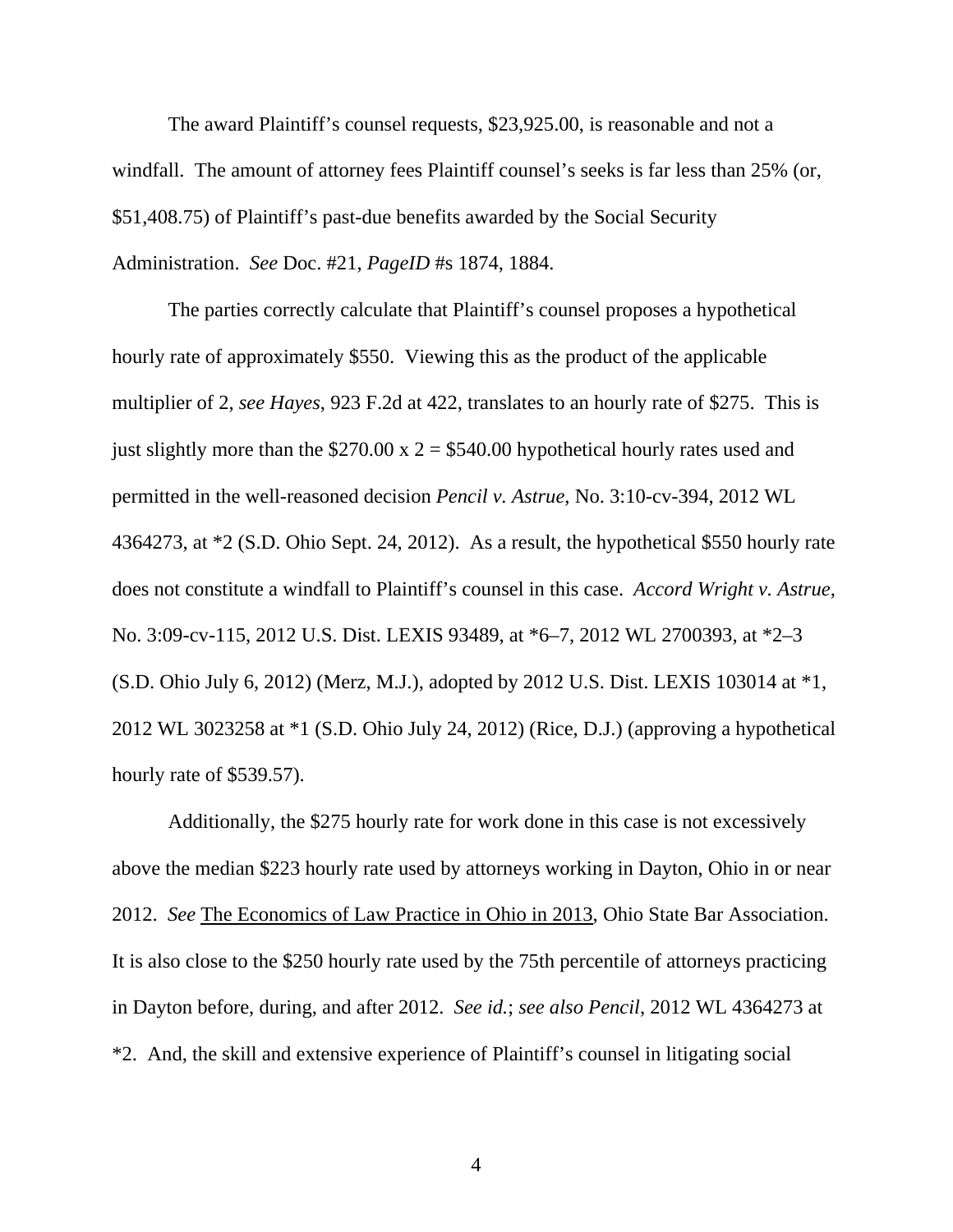The award Plaintiff's counsel requests, \$23,925.00, is reasonable and not a windfall. The amount of attorney fees Plaintiff counsel's seeks is far less than 25% (or, \$51,408.75) of Plaintiff's past-due benefits awarded by the Social Security Administration. *See* Doc. #21, *PageID* #s 1874, 1884.

 The parties correctly calculate that Plaintiff's counsel proposes a hypothetical hourly rate of approximately \$550. Viewing this as the product of the applicable multiplier of 2, *see Hayes*, 923 F.2d at 422, translates to an hourly rate of \$275. This is just slightly more than the  $$270.00 \times 2 = $540.00$  hypothetical hourly rates used and permitted in the well-reasoned decision *Pencil v. Astrue*, No. 3:10-cv-394, 2012 WL 4364273, at \*2 (S.D. Ohio Sept. 24, 2012). As a result, the hypothetical \$550 hourly rate does not constitute a windfall to Plaintiff's counsel in this case. *Accord Wright v. Astrue*, No. 3:09-cv-115, 2012 U.S. Dist. LEXIS 93489, at \*6–7, 2012 WL 2700393, at \*2–3 (S.D. Ohio July 6, 2012) (Merz, M.J.), adopted by 2012 U.S. Dist. LEXIS 103014 at \*1, 2012 WL 3023258 at \*1 (S.D. Ohio July 24, 2012) (Rice, D.J.) (approving a hypothetical hourly rate of \$539.57).

 Additionally, the \$275 hourly rate for work done in this case is not excessively above the median \$223 hourly rate used by attorneys working in Dayton, Ohio in or near 2012. *See* The Economics of Law Practice in Ohio in 2013, Ohio State Bar Association. It is also close to the \$250 hourly rate used by the 75th percentile of attorneys practicing in Dayton before, during, and after 2012. *See id.*; *see also Pencil*, 2012 WL 4364273 at \*2. And, the skill and extensive experience of Plaintiff's counsel in litigating social

4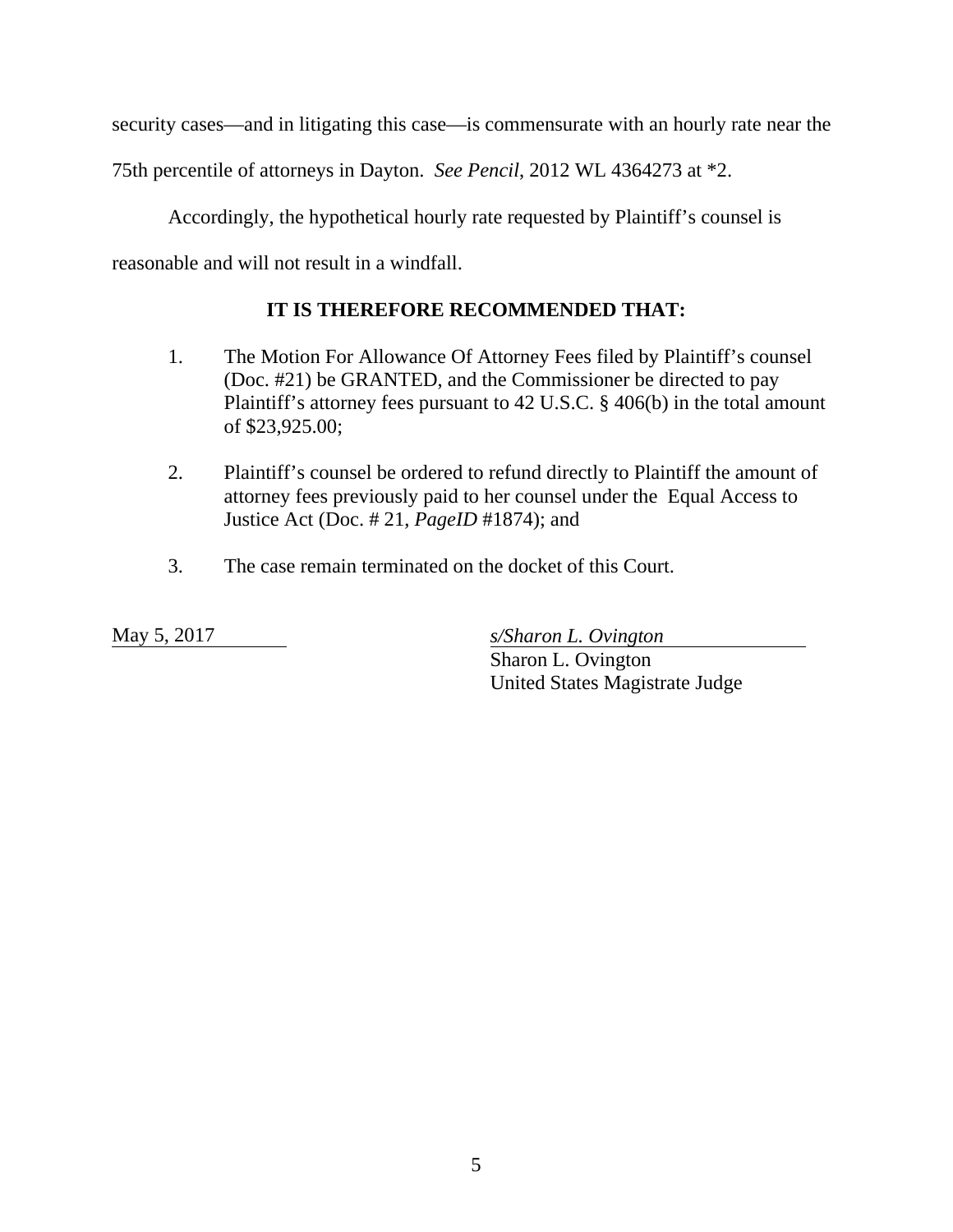security cases—and in litigating this case—is commensurate with an hourly rate near the

75th percentile of attorneys in Dayton. *See Pencil*, 2012 WL 4364273 at \*2.

Accordingly, the hypothetical hourly rate requested by Plaintiff's counsel is

reasonable and will not result in a windfall.

## **IT IS THEREFORE RECOMMENDED THAT:**

- 1. The Motion For Allowance Of Attorney Fees filed by Plaintiff's counsel (Doc. #21) be GRANTED, and the Commissioner be directed to pay Plaintiff's attorney fees pursuant to 42 U.S.C. § 406(b) in the total amount of \$23,925.00;
- 2. Plaintiff's counsel be ordered to refund directly to Plaintiff the amount of attorney fees previously paid to her counsel under the Equal Access to Justice Act (Doc. # 21, *PageID* #1874); and
- 3. The case remain terminated on the docket of this Court.

May 5, 2017 *s/Sharon L. Ovington* 

 Sharon L. Ovington United States Magistrate Judge